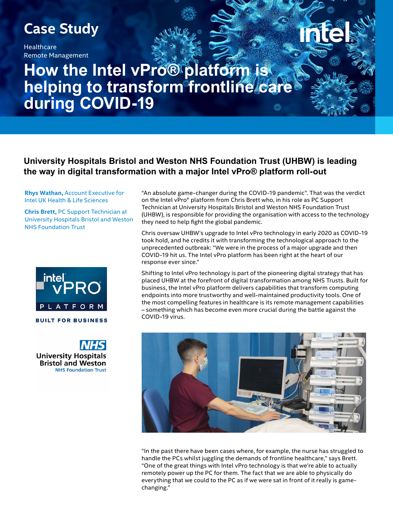## **Case Study**

**Healthcare** Remote Management

# **How the Intel vPro® platform is helping to transform frontline care during COVID-19**

## **University Hospitals Bristol and Weston NHS Foundation Trust (UHBW) is leading the way in digital transformation with a major Intel vPro® platform roll-out**

**Rhys Wathan,** Account Executive for Intel UK Health & Life Sciences

**Chris Brett,** PC Support Technician at University Hospitals Bristol and Weston NHS Foundation Trust



**University Hospitals Bristol and Weston NHS Foundation Trust**  "An absolute game-changer during the COVID-19 pandemic". That was the verdict on the Intel vPro® platform from Chris Brett who, in his role as PC Support Technician at University Hospitals Bristol and Weston NHS Foundation Trust (UHBW), is responsible for providing the organisation with access to the technology they need to help fight the global pandemic.

Chris oversaw UHBW's upgrade to Intel vPro technology in early 2020 as COVID-19 took hold, and he credits it with transforming the technological approach to the unprecedented outbreak: "We were in the process of a major upgrade and then COVID-19 hit us. The Intel vPro platform has been right at the heart of our response ever since."

Shifting to Intel vPro technology is part of the pioneering digital strategy that has placed UHBW at the forefront of digital transformation among NHS Trusts. Built for business, the Intel vPro platform delivers capabilities that transform computing endpoints into more trustworthy and well-maintained productivity tools. One of the most compelling features in healthcare is its remote management capabilities – something which has become even more crucial during the battle against the COVID-19 virus.



"In the past there have been cases where, for example, the nurse has struggled to handle the PCs whilst juggling the demands of frontline healthcare," says Brett. "One of the great things with Intel vPro technology is that we're able to actually remotely power up the PC for them. The fact that we are able to physically do everything that we could to the PC as if we were sat in front of it really is gamechanging."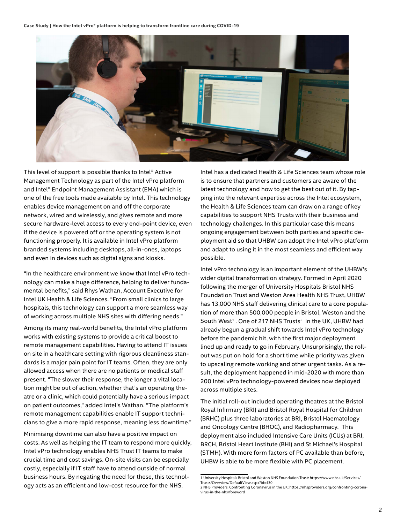**Case Study | How the Intel vPro® platform is helping to transform frontline care during COVID-19**



This level of support is possible thanks to Intel® Active Management Technology as part of the Intel vPro platform and Intel® Endpoint Management Assistant (EMA) which is one of the free tools made available by Intel. This technology enables device management on and off the corporate network, wired and wirelessly, and gives remote and more secure hardware-level access to every end-point device, even if the device is powered off or the operating system is not functioning properly. It is available in Intel vPro platform branded systems including desktops, all-in-ones, laptops and even in devices such as digital signs and kiosks.

"In the healthcare environment we know that Intel vPro technology can make a huge difference, helping to deliver fundamental benefits," said Rhys Wathan, Account Executive for Intel UK Health & Life Sciences. "From small clinics to large hospitals, this technology can support a more seamless way of working across multiple NHS sites with differing needs."

Among its many real-world benefits, the Intel vPro platform works with existing systems to provide a critical boost to remote management capabilities. Having to attend IT issues on site in a healthcare setting with rigorous cleanliness standards is a major pain point for IT teams. Often, they are only allowed access when there are no patients or medical staff present. "The slower their response, the longer a vital location might be out of action, whether that's an operating theatre or a clinic, which could potentially have a serious impact on patient outcomes," added Intel's Wathan. "The platform's remote management capabilities enable IT support technicians to give a more rapid response, meaning less downtime."

Minimising downtime can also have a positive impact on costs. As well as helping the IT team to respond more quickly, Intel vPro technology enables NHS Trust IT teams to make crucial time and cost savings. On-site visits can be especially costly, especially if IT staff have to attend outside of normal business hours. By negating the need for these, this technology acts as an efficient and low-cost resource for the NHS.

Intel has a dedicated Health & Life Sciences team whose role is to ensure that partners and customers are aware of the latest technology and how to get the best out of it. By tapping into the relevant expertise across the Intel ecosystem, the Health & Life Sciences team can draw on a range of key capabilities to support NHS Trusts with their business and technology challenges. In this particular case this means ongoing engagement between both parties and specific deployment aid so that UHBW can adopt the Intel vPro platform and adapt to using it in the most seamless and efficient way possible.

Intel vPro technology is an important element of the UHBW's wider digital transformation strategy. Formed in April 2020 following the merger of University Hospitals Bristol NHS Foundation Trust and Weston Area Health NHS Trust, UHBW has 13,000 NHS staff delivering clinical care to a core population of more than 500,000 people in Bristol, Weston and the South West<sup>1</sup>. One of 217 NHS Trusts<sup>2</sup> in the UK, UHBW had already begun a gradual shift towards Intel vPro technology before the pandemic hit, with the first major deployment lined up and ready to go in February. Unsurprisingly, the rollout was put on hold for a short time while priority was given to upscaling remote working and other urgent tasks. As a result, the deployment happened in mid-2020 with more than 200 Intel vPro technology-powered devices now deployed across multiple sites.

The initial roll-out included operating theatres at the Bristol Royal Infirmary (BRI) and Bristol Royal Hospital for Children (BRHC) plus three laboratories at BRI, Bristol Haematology and Oncology Centre (BHOC), and Radiopharmacy. This deployment also included Intensive Care Units (ICUs) at BRI, BRCH, Bristol Heart Institute (BHI) and St Michael's Hospital (STMH). With more form factors of PC available than before, UHBW is able to be more flexible with PC placement.

<sup>1</sup> University Hospitals Bristol and Weston NHS Foundation Trust: https://www.nhs.uk/Services/ Trusts/Overview/DefaultView.aspx?id=130

<sup>2</sup> NHS Providers, Confronting Coronavirus in the UK: https://nhsproviders.org/confronting-coronavirus-in-the-nhs/foreword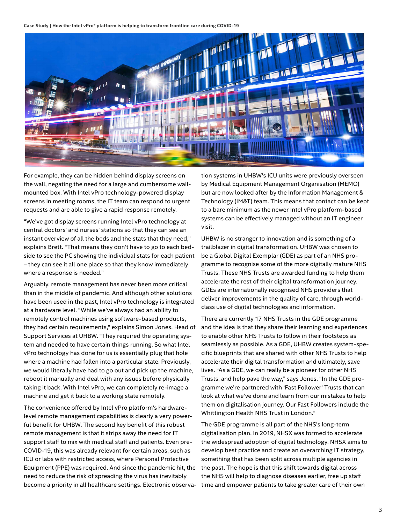**Case Study | How the Intel vPro® platform is helping to transform frontline care during COVID-19**



For example, they can be hidden behind display screens on the wall, negating the need for a large and cumbersome wallmounted box. With Intel vPro technology-powered display screens in meeting rooms, the IT team can respond to urgent requests and are able to give a rapid response remotely.

"We've got display screens running Intel vPro technology at central doctors' and nurses' stations so that they can see an instant overview of all the beds and the stats that they need," explains Brett. "That means they don't have to go to each bedside to see the PC showing the individual stats for each patient – they can see it all one place so that they know immediately where a response is needed."

Arguably, remote management has never been more critical than in the middle of pandemic. And although other solutions have been used in the past, Intel vPro technology is integrated at a hardware level. "While we've always had an ability to remotely control machines using software-based products, they had certain requirements," explains Simon Jones, Head of Support Services at UHBW. "They required the operating system and needed to have certain things running. So what Intel vPro technology has done for us is essentially plug that hole where a machine had fallen into a particular state. Previously, we would literally have had to go out and pick up the machine, reboot it manually and deal with any issues before physically taking it back. With Intel vPro, we can completely re-image a machine and get it back to a working state remotely."

The convenience offered by Intel vPro platform's hardwarelevel remote management capabilities is clearly a very powerful benefit for UHBW. The second key benefit of this robust remote management is that it strips away the need for IT support staff to mix with medical staff and patients. Even pre-COVID-19, this was already relevant for certain areas, such as ICU or labs with restricted access, where Personal Protective Equipment (PPE) was required. And since the pandemic hit, the need to reduce the risk of spreading the virus has inevitably become a priority in all healthcare settings. Electronic observa-

tion systems in UHBW's ICU units were previously overseen by Medical Equipment Management Organisation (MEMO) but are now looked after by the Information Management & Technology (IM&T) team. This means that contact can be kept to a bare minimum as the newer Intel vPro platform-based systems can be effectively managed without an IT engineer visit.

UHBW is no stranger to innovation and is something of a trailblazer in digital transformation. UHBW was chosen to be a Global Digital Exemplar (GDE) as part of an NHS programme to recognise some of the more digitally mature NHS Trusts. These NHS Trusts are awarded funding to help them accelerate the rest of their digital transformation journey. GDEs are internationally recognised NHS providers that deliver improvements in the quality of care, through worldclass use of digital technologies and information.

There are currently 17 NHS Trusts in the GDE programme and the idea is that they share their learning and experiences to enable other NHS Trusts to follow in their footsteps as seamlessly as possible. As a GDE, UHBW creates system-specific blueprints that are shared with other NHS Trusts to help accelerate their digital transformation and ultimately, save lives. "As a GDE, we can really be a pioneer for other NHS Trusts, and help pave the way," says Jones. "In the GDE programme we're partnered with 'Fast Follower' Trusts that can look at what we've done and learn from our mistakes to help them on digitalisation journey. Our Fast Followers include the Whittington Health NHS Trust in London."

The GDE programme is all part of the NHS's long-term digitalisation plan. In 2019, NHSX was formed to accelerate the widespread adoption of digital technology. NHSX aims to develop best practice and create an overarching IT strategy, something that has been split across multiple agencies in the past. The hope is that this shift towards digital across the NHS will help to diagnose diseases earlier, free up staff time and empower patients to take greater care of their own